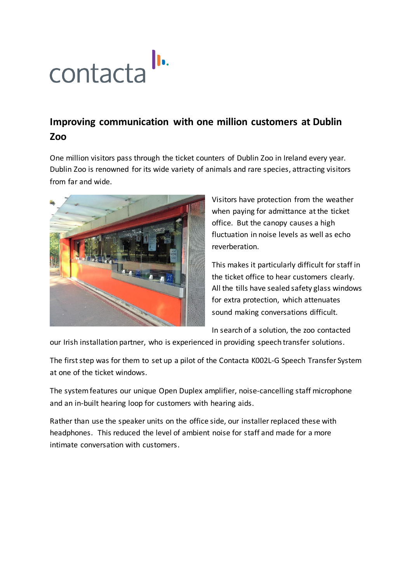## $\|\cdot\|$ contacta

## **Improving communication with one million customers at Dublin Zoo**

One million visitors pass through the ticket counters of [Dublin Zoo](https://www.dublinzoo.ie/) in Ireland every year. Dublin Zoo is renowned for its wide variety of animals and rare species, attracting visitors from far and wide.



Visitors have protection from the weather when paying for admittance at the ticket office. But the canopy causes a high fluctuation in noise levels as well as echo reverberation.

This makes it particularly difficult for staff in the ticket office to hear customers clearly. All the tills have sealed safety glass windows for extra protection, which attenuates sound making conversations difficult.

In search of a solution, the zoo contacted

our Irish installation partner, who is experienced in providing speech transfer solutions.

The first step was for them to set up a pilot of the Contacta K002L-G Speech Transfer System at one of the ticket windows.

The system features our unique Open Duplex amplifier, noise-cancelling staff microphone and an in-built hearing loop for customers with hearing aids.

Rather than use the speaker units on the office side, our installerreplaced these with headphones. This reduced the level of ambient noise for staff and made for a more intimate conversation with customers.